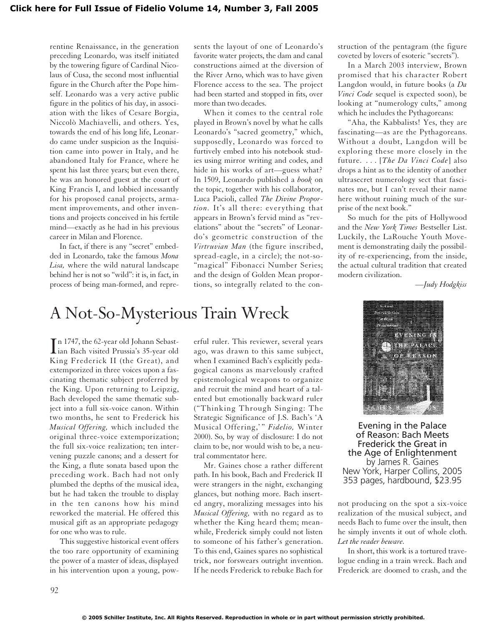rentine Renaissance, in the generation preceding Leonardo, was itself initiated by the towering figure of Cardinal Nicolaus of Cusa, the second most influential figure in the Church after the Pope himself. Leonardo was a very active public figure in the politics of his day, in association with the likes of Cesare Borgia, Niccolò Machiavelli, and others. Yes, towards the end of his long life, Leonardo came under suspicion as the Inquisition came into power in Italy, and he abandoned Italy for France, where he spent his last three years; but even there, he was an honored guest at the court of King Francis I, and lobbied incessantly for his proposed canal projects, armament improvements, and other inventions and projects conceived in his fertile mind—exactly as he had in his previous career in Milan and Florence.

In fact, if there is any "secret" embedded in Leonardo, take the famous *Mona Lisa,* where the wild natural landscape behind her is not so "wild": it is, in fact, in process of being man-formed, and represents the layout of one of Leonardo's favorite water projects, the dam and canal constructions aimed at the diversion of the River Arno, which was to have given Florence access to the sea. The project had been started and stopped in fits, over more than two decades.

When it comes to the central role played in Brown's novel by what he calls Leonardo's "sacred geometry," which, supposedly, Leonardo was forced to furtively embed into his notebook studies using mirror writing and codes, and hide in his works of art—guess what? In 1509, Leonardo published a *book* on the topic, together with his collaborator, Luca Pacioli, called *The Divine Proportion.* It's all there: everything that appears in Brown's fervid mind as "revelations" about the "secrets" of Leonardo's geometric construction of the *Virtruvian Man* (the figure inscribed, spread-eagle, in a circle); the not-so- "magical" Fibonacci Number Series; and the design of Golden Mean proportions, so integrally related to the con-

# A Not-So-Mysterious Train Wreck

In 1747, the 62-year old Johann Sebast-<br>ian Bach visited Prussia's 35-year old n 1747, the 62-year old Johann Sebast-King Frederick II (the Great), and extemporized in three voices upon a fascinating thematic subject proferred by the King. Upon returning to Leipzig, Bach developed the same thematic subject into a full six-voice canon. Within two months, he sent to Frederick his *Musical Offering,* which included the original three-voice extemporization; the full six-voice realization; ten intervening puzzle canons; and a dessert for the King, a flute sonata based upon the preceding work. Bach had not only plumbed the depths of the musical idea, but he had taken the trouble to display in the ten canons how his mind reworked the material. He offered this musical gift as an appropriate pedagogy for one who was to rule.

This suggestive historical event offers the too rare opportunity of examining the power of a master of ideas, displayed in his intervention upon a young, powerful ruler. This reviewer, several years ago, was drawn to this same subject, when I examined Bach's explicitly pedagogical canons as marvelously crafted epistemological weapons to organize and recruit the mind and heart of a talented but emotionally backward ruler ("Thinking Through Singing: The Strategic Significance of J.S. Bach's 'A Musical Offering,' " *Fidelio,* Winter 2000). So, by way of disclosure: I do not claim to be, nor would wish to be, a neutral commentator here.

Mr. Gaines chose a rather different path. In his book, Bach and Frederick II were strangers in the night, exchanging glances, but nothing more. Bach inserted angry, moralizing messages into his *Musical Offering,* with no regard as to whether the King heard them; meanwhile, Frederick simply could not listen to someone of his father's generation. To this end, Gaines spares no sophistical trick, nor forswears outright invention. If he needs Frederick to rebuke Bach for struction of the pentagram (the figure coveted by lovers of esoteric "secrets").

In a March 2003 interview, Brown promised that his character Robert Langdon would, in future books (a *Da Vinci Code* sequel is expected soon), be looking at "numerology cults," among which he includes the Pythagoreans:

"Aha, the Kabbalists! Yes, they are fascinating—as are the Pythagoreans. Without a doubt, Langdon will be exploring these more closely in the future. . . . [*The Da Vinci Code*] also drops a hint as to the identity of another ultrasecret numerology sect that fascinates me, but I can't reveal their name here without ruining much of the surprise of the next book."

So much for the pits of Hollywood and the *New York Times* Bestseller List. Luckily, the LaRouche Youth Movement is demonstrating daily the possibility of re-experiencing, from the inside, the actual cultural tradition that created modern civilization.

*—Judy Hodgkiss*



Evening in the Palace of Reason: Bach Meets Frederick the Great in the Age of Enlightenment by James R. Gaines New York, Harper Collins, 2005 353 pages, hardbound, \$23.95

not producing on the spot a six-voice realization of the musical subject, and needs Bach to fume over the insult, then he simply invents it out of whole cloth. *Let the reader beware.*

In short, this work is a tortured travelogue ending in a train wreck. Bach and Frederick are doomed to crash, and the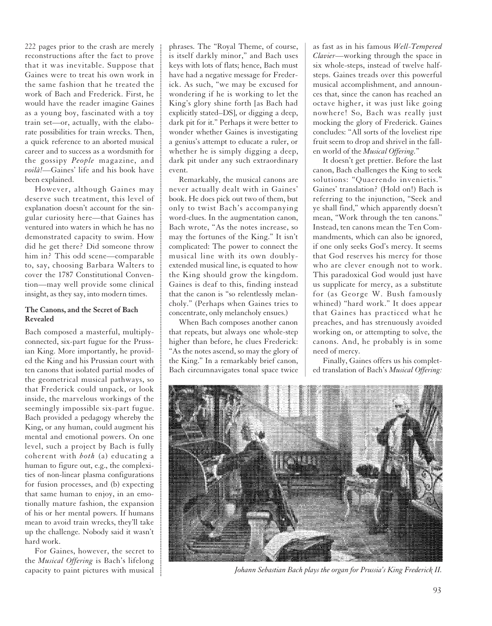222 pages prior to the crash are merely reconstructions after the fact to prove that it was inevitable. Suppose that Gaines were to treat his own work in the same fashion that he treated the work of Bach and Frederick. First, he would have the reader imagine Gaines as a young boy, fascinated with a toy train set—or, actually, with the elaborate possibilities for train wrecks. Then, a quick reference to an aborted musical career and to success as a wordsmith for the gossipy *People* magazine, and *voilà!*—Gaines' life and his book have been explained.

However, although Gaines may deserve such treatment, this level of explanation doesn't account for the singular curiosity here—that Gaines has ventured into waters in which he has no demonstrated capacity to swim. How did he get there? Did someone throw him in? This odd scene—comparable to, say, choosing Barbara Walters to cover the 1787 Constitutional Convention—may well provide some clinical insight, as they say, into modern times.

## **The Canons, and the Secret of Bach Revealed**

Bach composed a masterful, multiplyconnected, six-part fugue for the Prussian King. More importantly, he provided the King and his Prussian court with ten canons that isolated partial modes of the geometrical musical pathways, so that Frederick could unpack, or look inside, the marvelous workings of the seemingly impossible six-part fugue. Bach provided a pedagogy whereby the King, or any human, could augment his mental and emotional powers. On one level, such a project by Bach is fully coherent with *both* (a) educating a human to figure out, e.g., the complexities of non-linear plasma configurations for fusion processes, and (b) expecting that same human to enjoy, in an emotionally mature fashion, the expansion of his or her mental powers. If humans mean to avoid train wrecks, they'll take up the challenge. Nobody said it wasn't hard work.

For Gaines, however, the secret to the *Musical Offering* is Bach's lifelong capacity to paint pictures with musical phrases. The "Royal Theme, of course, is itself darkly minor," and Bach uses keys with lots of flats; hence, Bach must have had a negative message for Frederick. As such, "we may be excused for wondering if he is working to let the King's glory shine forth [as Bach had explicitly stated–DS], or digging a deep, dark pit for it." Perhaps it were better to wonder whether Gaines is investigating a genius's attempt to educate a ruler, or whether he is simply digging a deep, dark pit under any such extraordinary event.

Remarkably, the musical canons are never actually dealt with in Gaines' book. He does pick out two of them, but only to twist Bach's accompanying word-clues. In the augmentation canon, Bach wrote, "As the notes increase, so may the fortunes of the King." It isn't complicated: The power to connect the musical line with its own doublyextended musical line, is equated to how the King should grow the kingdom. Gaines is deaf to this, finding instead that the canon is "so relentlessly melancholy." (Perhaps when Gaines tries to concentrate, only melancholy ensues.)

When Bach composes another canon that repeats, but always one whole-step higher than before, he clues Frederick: "As the notes ascend, so may the glory of the King." In a remarkably brief canon, Bach circumnavigates tonal space twice

as fast as in his famous *Well-Tempered Clavier*—working through the space in six whole-steps, instead of twelve halfsteps. Gaines treads over this powerful musical accomplishment, and announces that, since the canon has reached an octave higher, it was just like going nowhere! So, Bach was really just mocking the glory of Frederick. Gaines concludes: "All sorts of the loveliest ripe fruit seem to drop and shrivel in the fallen world of the *Musical Offering.*"

It doesn't get prettier. Before the last canon, Bach challenges the King to seek solutions: "Quaerendo invenietis." Gaines' translation? (Hold on!) Bach is referring to the injunction, "Seek and ye shall find," which apparently doesn't mean, "Work through the ten canons." Instead, ten canons mean the Ten Commandments, which can also be ignored, if one only seeks God's mercy. It seems that God reserves his mercy for those who are clever enough not to work. This paradoxical God would just have us supplicate for mercy, as a substitute for (as George W. Bush famously whined) "hard work." It does appear that Gaines has practiced what he preaches, and has strenuously avoided working on, or attempting to solve, the canons. And, he probably is in some need of mercy.

Finally, Gaines offers us his completed translation of Bach's *Musical Offering:*



*Johann Sebastian Bach plays the organ for Prussia's King Frederick II.*